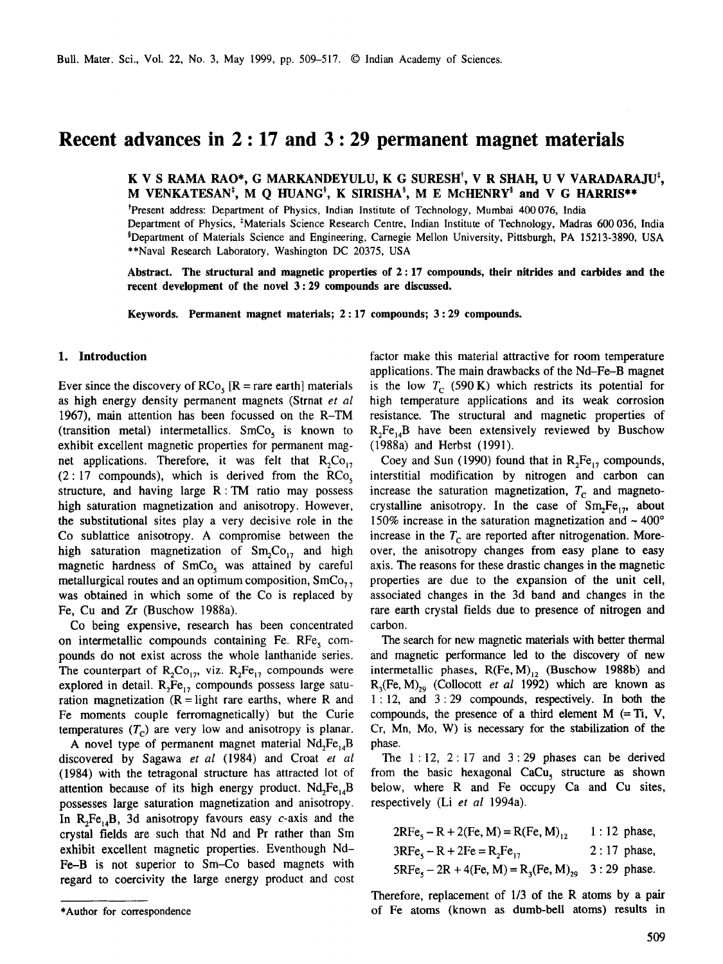# **Recent advances in 2 : 17 and 3 : 29 permanent magnet materials**

K V S RAMA RAO\*, G MARKANDEYULU, K G SURESH<sup>†</sup>, V R SHAH, U V VARADARAJU<sup>‡</sup>, **M VENKATESAN<sup>‡</sup>, M Q HUANG<sup>\$</sup>, K SIRISHA<sup>\$</sup>, M E McHENRY<sup>\$</sup> and V G HARRIS\*\*** 

<sup>†</sup>Present address: Department of Physics, Indian Institute of Technology, Mumbai 400 076, India Department of Physics, \*Materials Science Research Centre, Indian Institute of Technology, Madras 600 036, India §Department of Materials Science and Engineering, Carnegie Mellon University, Pittsburgh, PA 15213-3890, USA \*\*Naval Research Laboratory, Washington DC 20375, USA

**Abstract. The structural and magnetic properties of 2 : 17 compounds, their nitrides and carbides and the recent development of the novel 3:29 compounds are discussed.** 

**Keywords. Permanent magnet materials; 2:17 compounds; 3:29 compounds.** 

### **1. Introduction**

Ever since the discovery of  $RCo<sub>s</sub>$  [R = rare earth] materials as high energy density permanent magnets (Strnat *et al*  1967), main attention has been focussed on the R-TM (transition metal) intermetallics.  $SmCo<sub>s</sub>$  is known to exhibit excellent magnetic properties for permanent magnet applications. Therefore, it was felt that  $R_2Co_{17}$  $(2:17$  compounds), which is derived from the RCo<sub>s</sub> structure, and having large R:TM ratio may possess high saturation magnetization and anisotropy. However, the substitutional sites play a very decisive role in the Co sublattice anisotropy. A compromise between the high saturation magnetization of  $Sm<sub>2</sub>Co<sub>17</sub>$  and high magnetic hardness of  $SmCo<sub>5</sub>$  was attained by careful metallurgical routes and an optimum composition,  $SmCo_{7.7}$ was obtained in which some of the Co is replaced by Fe, Cu and Zr (Buschow 1988a).

Co being expensive, research has been concentrated on intermetallic compounds containing Fe.  $RFe<sub>s</sub>$  compounds do not exist across the whole lanthanide series. The counterpart of  $R_2Co_{17}$ , viz.  $R_2Fe_{17}$  compounds were explored in detail.  $R_2Fe_{17}$  compounds possess large saturation magnetization  $(R = light \, rare \, earths, \, where \, R \, and \,$ Fe moments couple ferromagnetically) but the Curie temperatures  $(T_c)$  are very low and anisotropy is planar.

A novel type of permanent magnet material  $Nd$ <sub>r</sub> $Fe<sub>14</sub>B$ discovered by Sagawa *et al* (1984) and Croat *et al*  (1984) with the tetragonal structure has attracted lot of attention because of its high energy product.  $Nd<sub>2</sub>Fe<sub>14</sub>B$ possesses large saturation magnetization and anisotropy. In  $R_2Fe_{14}B$ , 3d anisotropy favours easy c-axis and the crystal fields are such that Nd and Pr rather than Sm exhibit excellent magnetic properties. Eventhough Nd-Fe-B is not superior to Sm-Co based magnets with regard to coercivity the large energy product and cost factor make this material attractive for room temperature applications. The main drawbacks of the Nd-Fe-B magnet is the low  $T_c$  (590 K) which restricts its potential for high temperature applications and its weak corrosion resistance. The structural and magnetic properties of  $R_2Fe_{14}B$  have been extensively reviewed by Buschow (1988a) and Herbst (1991).

Coey and Sun (1990) found that in  $R_2Fe_{17}$  compounds, interstitial modification by nitrogen and carbon can increase the saturation magnetization,  $T_c$  and magnetocrystalline anisotropy. In the case of  $Sm<sub>2</sub>Fe<sub>17</sub>$ , about 150% increase in the saturation magnetization and  $\sim 400^{\circ}$ increase in the  $T_c$  are reported after nitrogenation. Moreover, the anisotropy changes from easy plane to easy axis. The reasons for these drastic changes in the magnetic properties are due to the expansion of the unit cell, associated changes in the 3d band and changes in the rare earth crystal fields due to presence of nitrogen and carbon.

The search for new magnetic materials with better thermal and magnetic performance led to the discovery of new intermetallic phases,  $R(Fe, M)$ <sub>12</sub> (Buschow 1988b) and  $R_3$ (Fe, M)<sub>20</sub> (Collocott *et al* 1992) which are known as 1:12, and 3:29 compounds, respectively. In both the compounds, the presence of a third element  $M$  (= Ti, V, Cr, Mn, Mo, W) is necessary for the stabilization of the phase.

The  $1:12$ ,  $2:17$  and  $3:29$  phases can be derived from the basic hexagonal CaCu, structure as shown below, where R and Fe occupy Ca and Cu sites, respectively (Li *et al* 1994a).

 $2RF_{e_5}-R+2(Fe, M)=R(Fe, M)<sub>12</sub>$  1 : 12 phase,  $3RFe_5 - R + 2Fe = R_2Fe_{17}$  2 : 17 phase,  $5RFe<sub>5</sub> - 2R + 4(Fe, M) = R<sub>3</sub>(Fe, M)<sub>29</sub>$  3 : 29 phase.

Therefore, replacement of 1/3 of the R atoms by a pair of Fe atoms (known as dumb-bell atoms) results in

<sup>\*</sup>Author for correspondence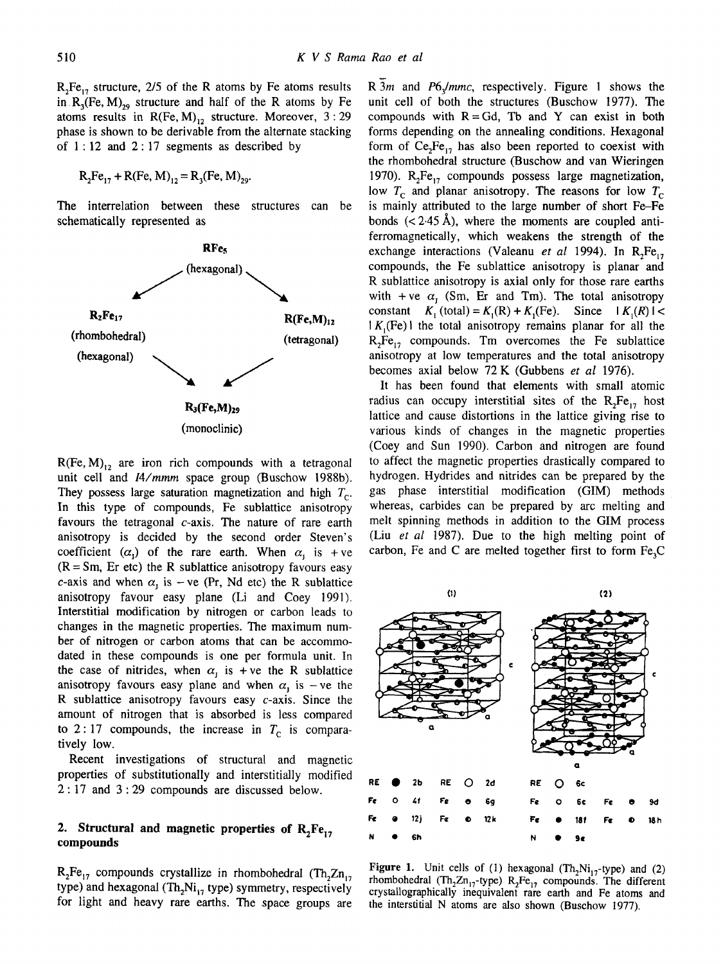$R_2Fe_{17}$  structure, 2/5 of the R atoms by Fe atoms results in  $R_3$ (Fe, M)<sub>29</sub> structure and half of the R atoms by Fe atoms results in  $R(Fe, M)_{12}$  structure. Moreover, 3:29 phase is shown to be derivable from the alternate stacking of  $1:12$  and  $2:17$  segments as described by

$$
R_2Fe_{17} + R(Fe, M)_{12} = R_3(Fe, M)_{29}.
$$

The interrelation between these structures can be schematically represented as



 $R(Fe, M)_{12}$  are iron rich compounds with a tetragonal unit cell and *14/mmm* space group (Buschow 1988b). They possess large saturation magnetization and high  $T_c$ . In this type of compounds, Fe sublattice anisotropy favours the tetragonal  $c$ -axis. The nature of rare earth anisotropy is decided by the second order Steven's coefficient  $(\alpha_1)$  of the rare earth. When  $\alpha_i$  is +ve  $(R = Sm, Er etc)$  the R sublattice anisotropy favours easy c-axis and when  $\alpha_i$  is -ve (Pr, Nd etc) the R sublattice anisotropy favour easy plane (Li and Coey 1991). Interstitial modification by nitrogen or carbon leads to changes in the magnetic properties. The maximum number of nitrogen or carbon atoms that can be accommodated in these compounds is one per formula unit. In the case of nitrides, when  $\alpha_i$  is + ve the R sublattice anisotropy favours easy plane and when  $\alpha$  is -ve the R sublattice anisotropy favours easy c-axis. Since the amount of nitrogen that is absorbed is less compared to 2:17 compounds, the increase in  $T_c$  is comparatively low.

Recent investigations of structural and magnetic properties of substitutionally and interstitially modified 2:17 and 3:29 compounds are discussed below.

### 2. Structural and magnetic properties of  $R_2Fe_{17}$ **compounds**

 $R_2Fe_{17}$  compounds crystallize in rhombohedral (Th<sub>2</sub>Zn<sub>17</sub>) type) and hexagonal (Th<sub>2</sub>Ni<sub>17</sub> type) symmetry, respectively for light and heavy rare earths. The space groups are

R 3m and P6<sub>3</sub>/mmc, respectively. Figure 1 shows the unit cell of both the structures (Buschow 1977). The compounds with  $R = Gd$ , Tb and Y can exist in both forms depending on the annealing conditions. Hexagonal form of  $Ce<sub>2</sub>Fe<sub>1</sub>$ , has also been reported to coexist with the rhombohedral structure (Buschow and van Wieringen 1970).  $R_2Fe_{17}$  compounds possess large magnetization, low  $T_c$  and planar anisotropy. The reasons for low  $T_c$ is mainly attributed to the large number of short Fe-Fe bonds  $(< 2.45~\text{\AA})$ , where the moments are coupled antiferromagnetically, which weakens the strength of the exchange interactions (Valeanu *et al* 1994). In  $R_2Fe_{17}$ compounds, the Fe sublattice anisotropy is planar and R sublattice anisotropy is axial only for those rare earths with + ve  $\alpha_i$  (Sm, Er and Tm). The total anisotropy constant  $K_1$  (total) =  $K_1(R) + K_1(Fe)$ . Since  $|K_1(R)| <$  $K_1(Fe)$  i the total anisotropy remains planar for all the  $R_7Fe_{17}$  compounds. Tm overcomes the Fe sublattice anisotropy at low temperatures and the total anisotropy becomes axial below 72 K (Gubbens *et al* 1976).

It has been found that elements with small atomic radius can occupy interstitial sites of the  $R_2Fe_{17}$  host lattice and cause distortions in the lattice giving rise to various kinds of changes in the magnetic properties (Coey and Sun 1990). Carbon and nitrogen are found to affect the magnetic properties drastically compared to hydrogen. Hydrides and nitrides can be prepared by the gas phase interstitial modification (GIM) methods whereas, carbides can be prepared by arc melting and melt spinning methods in addition to the GIM process (Liu *et al* 1987). Due to the high melting point of carbon, Fe and C are melted together first to form  $Fe<sub>3</sub>C$ 



**Figure 1.** Unit cells of (1) hexagonal  $(Th_2Ni_{17}$ -type) and (2) rhombohedral (Th<sub>2</sub>Zn<sub>17</sub>-type) R<sub>2</sub>Fe<sub>17</sub> compounds. The different crystallographically inequivalent rare earth and Fe atoms and the interstitial N atoms are also shown (Buschow 1977).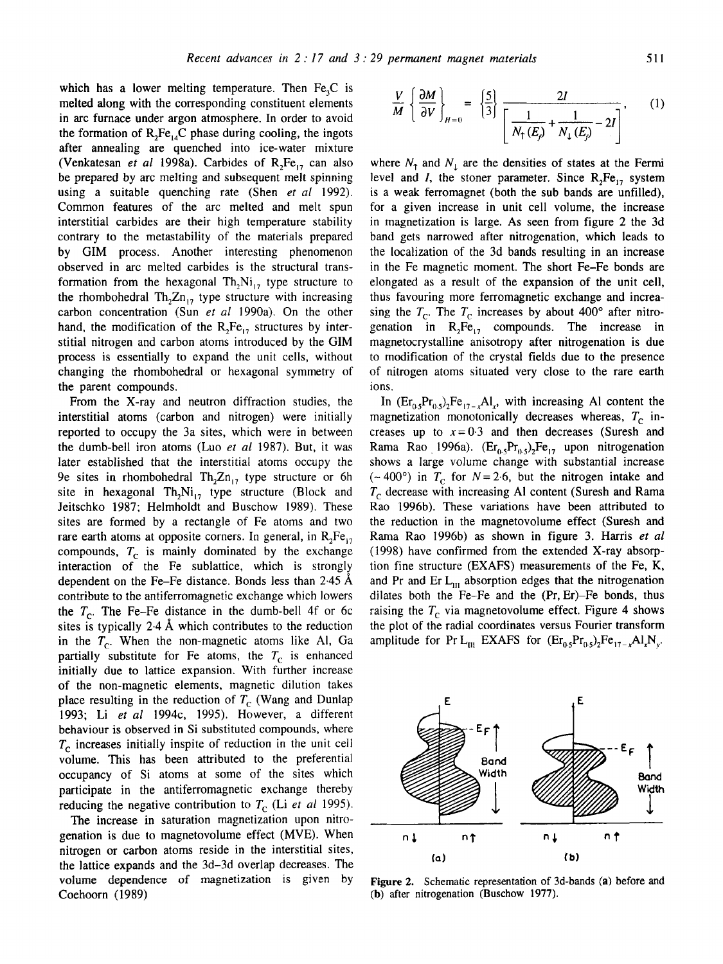which has a lower melting temperature. Then  $Fe<sub>3</sub>C$  is melted along with the corresponding constituent elements in arc furnace under argon atmosphere. In order to avoid the formation of  $R_2Fe_{14}C$  phase during cooling, the ingots after annealing are quenched into ice-water mixture (Venkatesan *et al* 1998a). Carbides of  $R_2Fe_{17}$  can also be prepared by arc melting and subsequent melt spinning using a suitable quenching rate (Shen *et al* 1992). Common features of the arc melted and melt spun interstitial carbides are their high temperature stability contrary to the metastability of the materials prepared by GIM process. Another interesting phenomenon observed in arc melted carbides is the structural transformation from the hexagonal  $Th_2Ni_{17}$  type structure to the rhombohedral  $Th_2Zn_{17}$  type structure with increasing carbon concentration (Sun *et al* 1990a). On the other hand, the modification of the  $R_2Fe_{17}$  structures by interstitial nitrogen and carbon atoms introduced by the GIM process is essentially to expand the unit cells, without changing the rhombohedral or hexagonal symmetry of the parent compounds.

From the X-ray and neutron diffraction studies, the interstitial atoms (carbon and nitrogen) were initially reported to occupy the 3a sites, which were in between the dumb-bell iron atoms (Luo *et al* 1987). But, it was later established that the interstitial atoms occupy the 9e sites in rhombohedral  $Th_2Zn_{17}$  type structure or 6h site in hexagonal Th<sub>2</sub>Ni<sub>17</sub> type structure (Block and Jeitschko 1987; Helmholdt and Buschow 1989). These sites are formed by a rectangle of Fe atoms and two rare earth atoms at opposite corners. In general, in  $R_2Fe_{17}$ compounds,  $T_c$  is mainly dominated by the exchange interaction of the Fe sublattice, which is strongly dependent on the Fe-Fe distance. Bonds less than  $2.45~\text{\AA}$ contribute to the antiferromagnetic exchange which lowers the  $T_c$ . The Fe-Fe distance in the dumb-bell 4f or 6c sites is typically  $2.4$  Å which contributes to the reduction in the  $T_c$ . When the non-magnetic atoms like Al, Ga partially substitute for Fe atoms, the  $T_c$  is enhanced initially due to lattice expansion. With further increase of the non-magnetic elements, magnetic dilution takes place resulting in the reduction of  $T_c$  (Wang and Dunlap 1993; Li *et al* 1994c, 1995). However, a different behaviour is observed in Si substituted compounds, where  $T_c$  increases initially inspite of reduction in the unit cell volume. This has been attributed to the preferential occupancy of Si atoms at some of the sites which participate in the antiferromagnetic exchange thereby reducing the negative contribution to  $T_c$  (Li *et al* 1995).

The increase in saturation magnetization upon nitrogenation is due to magnetovolume effect (MVE). When nitrogen or carbon atoms reside in the interstitial sites, the lattice expands and the 3d-3d overlap decreases. The volume dependence of magnetization is given by Coehoorn (1989)

$$
\frac{V}{M} \left\{ \frac{\partial M}{\partial V} \right\}_{H=0} = \left\{ \frac{5}{3} \right\} \frac{2I}{\left[ \frac{1}{N_{\uparrow}(E_{\rho})} + \frac{1}{N_{\downarrow}(E_{\rho})} - 2I \right]}, \qquad (1)
$$

where  $N<sub>T</sub>$  and  $N<sub>T</sub>$  are the densities of states at the Fermi level and I, the stoner parameter. Since  $R_2Fe_{17}$  system is a weak ferromagnet (both the sub bands are unfilled), for a given increase in unit cell volume, the increase in magnetization is large. As seen from figure 2 the 3d band gets narrowed after nitrogenation, which leads to the localization of the 3d bands resulting in an increase in the Fe magnetic moment. The short Fe-Fe bonds are elongated as a result of the expansion of the unit cell, thus favouring more ferromagnetic exchange and increasing the  $T_c$ . The  $T_c$  increases by about 400° after nitrogenation in  $R_2Fe_{17}$  compounds. The increase in magnetocrystalline anisotropy after nitrogenation is due to modification of the crystal fields due to the presence of nitrogen atoms situated very close to the rare earth ions.

In  $(Er_{0.5}Pr_{0.5})_2Fe_{17-x}Al_x$ , with increasing Al content the magnetization monotonically decreases whereas,  $T_c$  increases up to  $x=0.3$  and then decreases (Suresh and Rama Rao 1996a).  $(Er_0, Pr_0, s)_2Fe_{17}$  upon nitrogenation shows a large volume change with substantial increase (~400°) in  $T_c$  for  $N=2.6$ , but the nitrogen intake and  $T_c$  decrease with increasing Al content (Suresh and Rama Rao 1996b). These variations have been attributed to the reduction in the magnetovolume effect (Suresh and Rama Rao 1996b) as shown in figure 3. Harris *et al*  (1998) have confirmed from the extended X-ray absorption fine structure (EXAFS) measurements of the Fe, K, and Pr and Er  $L_{\text{III}}$  absorption edges that the nitrogenation dilates both the Fe-Fe and the (Pr, Er)-Fe bonds, thus raising the  $T_c$  via magnetovolume effect. Figure 4 shows the plot of the radial coordinates versus Fourier transform amplitude for Pr L<sub>III</sub> EXAFS for  $(Er_{0.5}Pr_{0.5})_2Fe_{17-x}Al_xN_y$ .



Figure 2. Schematic representation of 3d-bands (a) before and (b) after nitrogenation (Buschow 1977).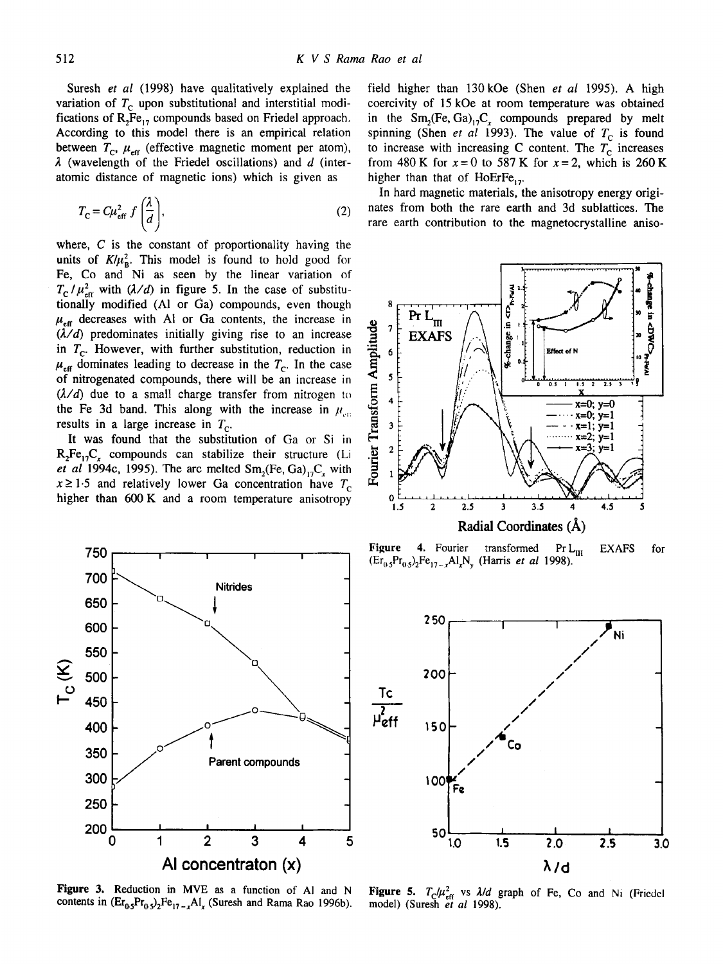Suresh *et al* (1998) have qualitatively explained the variation of  $T_c$  upon substitutional and interstitial modifications of  $R_2Fe_{17}$  compounds based on Friedel approach. According to this model there is an empirical relation between  $T_{\rm c}$ ,  $\mu_{\rm eff}$  (effective magnetic moment per atom),  $\lambda$  (wavelength of the Friedel oscillations) and  $d$  (interatomic distance of magnetic ions) which is given as

$$
T_{\rm C} = C\mu_{\rm eff}^2 f\left(\frac{\lambda}{d}\right),\tag{2}
$$

where, C is the constant of proportionality having the units of  $K/\mu_{\rm B}^2$ . This model is found to hold good for Fe, Co and Ni as seen by the linear variation of  $T_c / \mu_{\text{eff}}^2$  with  $(\lambda/d)$  in figure 5. In the case of substitutionally modified (Al or Ga) compounds, even though  $\mu_{\text{eff}}$  decreases with Al or Ga contents, the increase in  $(\lambda/d)$  predominates initially giving rise to an increase in  $T_c$ . However, with further substitution, reduction in  $\mu_{\text{eff}}$  dominates leading to decrease in the  $T_{\text{c}}$ . In the case of nitrogenated compounds, there will be an increase in  $(\lambda/d)$  due to a small charge transfer from nitrogen to the Fe 3d band. This along with the increase in  $\mu_{\mu}$ . results in a large increase in  $T_c$ .

It was found that the substitution of Ga or Si in  $R_2Fe_{17}C_r$  compounds can stabilize their structure (Li *et al* 1994c, 1995). The arc melted  $Sm<sub>2</sub>(Fe, Ga)<sub>17</sub>C<sub>r</sub>$  with  $x \ge 1.5$  and relatively lower Ga concentration have  $T_c$ higher than 600 K and a room temperature anisotropy



Figure 3. Reduction in MVE as a function of AI and N contents in  $(Er_{0.5}Pr_{0.5})_2Fe_{17-x}Al_x$  (Suresh and Rama Rao 1996b).

field higher than 130kOe (Shen *et al* 1995). A high coercivity of 15 kOe at room temperature was obtained in the  $Sm_2(Fe, Ga)_{12}C_1$  compounds prepared by melt spinning (Shen *et al* 1993). The value of  $T_c$  is found to increase with increasing C content. The  $T_c$  increases from 480 K for  $x = 0$  to 587 K for  $x = 2$ , which is 260 K higher than that of HoErFe<sub>17</sub>.

In hard magnetic materials, the anisotropy energy originates from both the rare earth and 3d sublattices. The rare earth contribution to the magnetocrystalline aniso-



Figure 4. Fourier transformed  $Pr L_{\text{III}}$  EXAFS  $(\text{Er}_{0.5}\text{Pr}_{0.5})_2\text{Fe}_{17-x}\text{Al}_x\text{N}_y$  (Harris *et al* 1998). for



Figure 5.  $T_c/\mu_{\text{eff}}^2$  vs  $\lambda/d$  graph of Fe, Co and Ni (Friedel model) (Suresh *et al* 1998).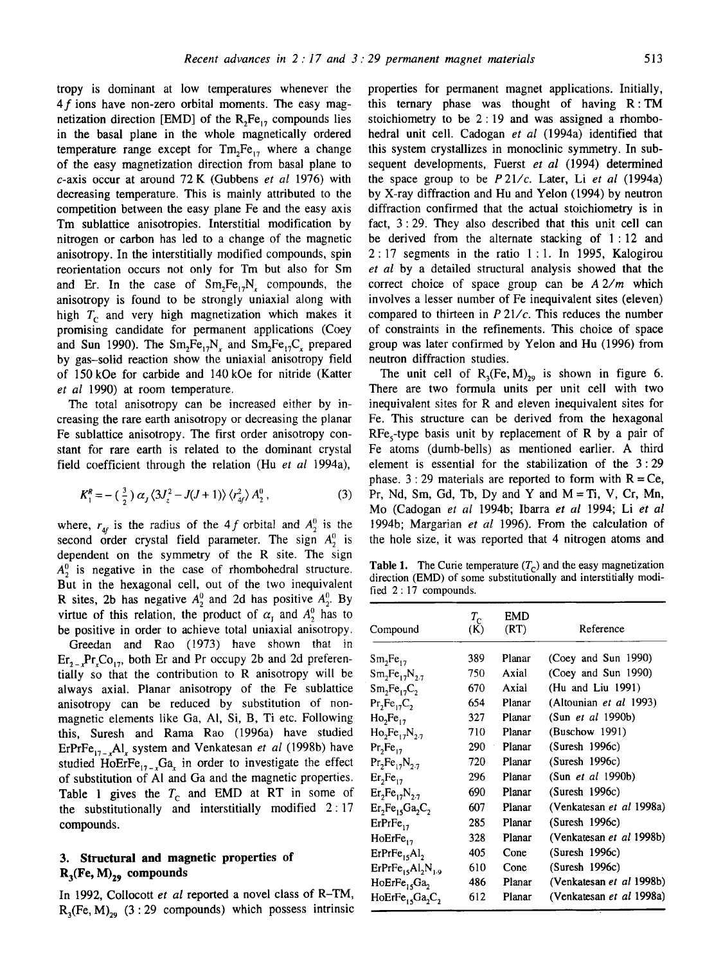tropy is dominant at low temperatures whenever the 4f ions have non-zero orbital moments. The easy magnetization direction [EMD] of the  $R_2Fe_{17}$  compounds lies in the basal plane in the whole magnetically ordered temperature range except for  $Tm_2Fe_{17}$  where a change of the easy magnetization direction from basal plane to c-axis occur at around 72 K (Gubbens *et al* 1976) with decreasing temperature. This is mainly attributed to the competition between the easy plane Fe and the easy axis Tm sublattice anisotropies. Interstitial modification by nitrogen or carbon has led to a change of the magnetic anisotropy. In the interstitially modified compounds, spin reorientation occurs not only for Tm but also for Sm and Er. In the case of  $Sm_2Fe_{17}N_1$  compounds, the anisotropy is found to be strongly uniaxial along with high  $T_c$  and very high magnetization which makes it promising candidate for permanent applications (Coey and Sun 1990). The  $Sm_2Fe_{17}N_x$  and  $Sm_2Fe_{17}C_x$  prepared by gas-solid reaction show the uniaxial anisotropy field of 150 kOe for carbide and 140 kOe for nitride (Katter *et al* 1990) at room temperature.

The total anisotropy can be increased either by increasing the rare earth anisotropy or decreasing the planar Fe sublattice anisotropy. The first order anisotropy constant for rare earth is related to the dominant crystal field coefficient through the relation (Hu *et al* 1994a),

$$
K_1^R = -\left(\frac{3}{2}\right)\alpha_j\left\langle 3J_z^2 - J(J+1)\right\rangle\left\langle r_{4f}^2\right\rangle A_2^0\,,\tag{3}
$$

where,  $r_{4f}$  is the radius of the 4f orbital and  $A_2^0$  is the second order crystal field parameter. The sign  $A_2^0$  is dependent on the symmetry of the R site. The sign  $A_2^0$  is negative in the case of rhombohedral structure. But in the hexagonal cell, out of the two inequivalent R sites, 2b has negative  $A_2^0$  and 2d has positive  $A_2^0$ . By virtue of this relation, the product of  $\alpha_1$  and  $A_2^0$  has to be positive in order to achieve total uniaxial anisotropy.

Greedan and Rao (1973) have shown that in  $\text{Er}_{2-x}\text{Pr}_{x}\text{Co}_{17}$ , both Er and Pr occupy 2b and 2d preferentially so that the contribution to R anisotropy will be always axial. Planar anisotropy of the Fe sublattice anisotropy can be reduced by substitution of nonmagnetic elements like Ga, AI, Si, B, Ti etc. Following this, Suresh and Rama Rao (1996a) have studied ErPrFe<sub>17-x</sub>Al, system and Venkatesan *et al* (1998b) have studied HoErFe<sub>17-x</sub>Ga<sub>x</sub> in order to investigate the effect of substitution of AI and Ga and the magnetic properties. Table 1 gives the  $T_c$  and EMD at RT in some of the substitutionally and interstitially modified 2:17 compounds.

## **3. Structural and magnetic properties of**   $R_3$ (Fe, M)<sub>29</sub> compounds

In 1992, Collocott *et al* reported a novel class of R-TM,  $R_3$ (Fe, M)<sub>29</sub> (3:29 compounds) which possess intrinsic properties for permanent magnet applications. Initially, this ternary phase was thought of having R:TM stoichiometry to be  $2:19$  and was assigned a rhombohedral unit cell. Cadogan *et al* (1994a) identified that this system crystallizes in monoclinic symmetry. In subsequent developments, Fuerst *et al* (1994) determined the space group to be *P21/c.* Later, Li *et al* (1994a) by X-ray diffraction and Hu and Yelon (1994) by neutron diffraction confirmed that the actual stoichiometry is in fact, 3:29. They also described that this unit cell can be derived from the alternate stacking of 1:12 and 2:17 segments in the ratio 1:1. In 1995, Kalogirou *et al* by a detailed structural analysis showed that the correct choice of space group can be  $A\frac{2}{m}$  which involves a lesser number of Fe inequivalent sites (eleven) compared to thirteen in *P 21/c.* This reduces the number of constraints in the refinements. This choice of space group was later confirmed by Yelon and Hu (1996) from neutron diffraction studies.

The unit cell of  $R_3$ (Fe, M)<sub>29</sub> is shown in figure 6. There are two formula units per unit cell with two inequivalent sites for R and eleven inequivalent sites for Fe. This structure can be derived from the hexagonal  $RFe<sub>s</sub>$ -type basis unit by replacement of R by a pair of Fe atoms (dumb-bells) as mentioned earlier. A third element is essential for the stabilization of the 3:29 phase. 3 : 29 materials are reported to form with  $R = Ce$ , Pr, Nd, Sm, Gd, Tb, Dy and Y and  $M = Ti$ , V, Cr, Mn, Mo (Cadogan *et al* 1994b; Ibarra *et al* 1994; Li *et al*  1994b; Margarian *et al* 1996). From the calculation of the hole size, it was reported that 4 nitrogen atoms and

**Table 1.** The Curie temperature  $(T<sub>c</sub>)$  and the easy magnetization direction (EMD) of some substitutionally and interstitially modified 2:17 compounds.

| Compound                             | $T_{\rm c}$<br>(K) | EMD<br>(RT) | Reference                       |
|--------------------------------------|--------------------|-------------|---------------------------------|
| Sm <sub>2</sub> Fe <sub>17</sub>     | 389                | Planar      | (Coey and Sun 1990)             |
| $Sm_2Fe_{17}N_{2.7}$                 | 750                | Axial       | (Coey and Sun 1990)             |
| $Sm_2Fe_{17}C_2$                     | 670                | Axial       | (Hu and Liu 1991)               |
| $Pr_2Fe_{17}C_2$                     | 654                | Planar      | (Altounian et al 1993)          |
| $Ho_2Fe_{17}$                        | 327                | Planar      | (Sun et al 1990b)               |
| $Ho_2Fe_{17}N_{2.7}$                 | 710                | Planar      | (Buschow 1991)                  |
| $Pr_{2}Fe_{17}$                      | 290                | Planar      | (Suresh 1996c)                  |
| $Pr_2Fe_{17}N_{2.7}$                 | 720                | Planar      | (Suresh 1996c)                  |
| $Er_2Fe_{17}$                        | 296                | Planar      | (Sun et al 1990b)               |
| $Er_2Fe_{17}N_{2.7}$                 | 690                | Planar      | (Suresh 1996c)                  |
| $Er2Fe15Ga2C2$                       | 607                | Planar      | (Venkatesan <i>et al</i> 1998a) |
| $ErrFe_{17}$                         | 285                | Planar      | (Suresh 1996c)                  |
| $HoErFe_{17}$                        | 328                | Planar      | (Venkatesan et al 1998b)        |
| $E$ rPr $Fe15Al2$                    | 405                | Cone        | (Suresh 1996c)                  |
| $ErPrFe_{15}Al_2N_{1.9}$             | 610                | Cone        | (Suresh 1996c)                  |
| HoErFe <sub>15</sub> Ga <sub>2</sub> | 486                | Planar      | (Venkatesan et al 1998b)        |
| $HoErFe15Ga2C2$                      | 612                | Planar      | (Venkatesan <i>et al</i> 1998a) |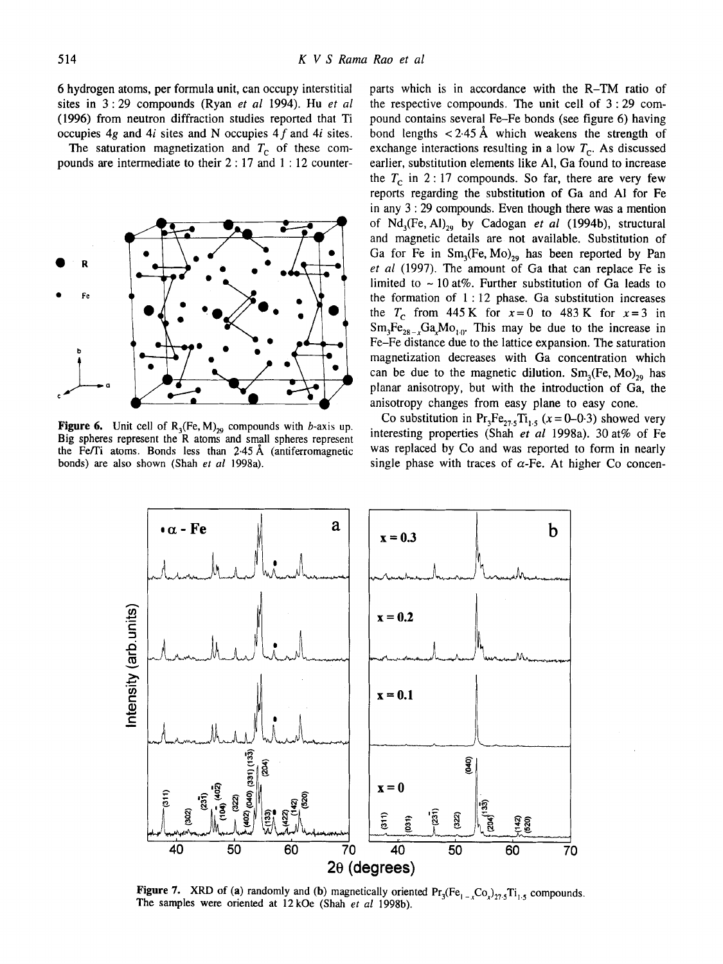6 hydrogen atoms, per formula unit, can occupy interstitial sites in 3:29 compounds (Ryan *et al* 1994). Hu *et al*  (1996) from neutron diffraction studies reported that Ti occupies  $4g$  and  $4i$  sites and N occupies  $4f$  and  $4i$  sites.

The saturation magnetization and  $T_c$  of these compounds are intermediate to their 2 : 17 and 1 : 12 counter-



Figure 6. Unit cell of  $R_3$ (Fe, M)<sub>29</sub> compounds with b-axis up. Big spheres represent the R atoms and small spheres represent the Fe/Ti atoms. Bonds less than  $2.45 \text{ Å}$  (antiferromagnetic bonds) are also shown (Shah *et al* 1998a).

parts which is in accordance with the R-TM ratio of the respective compounds. The unit cell of 3 : 29 compound contains several Fe-Fe bonds (see figure 6) having bond lengths  $\langle 2.45 \text{ Å}$  which weakens the strength of exchange interactions resulting in a low  $T_c$ . As discussed earlier, substitution elements like A1, Ga found to increase the  $T_c$  in 2:17 compounds. So far, there are very few reports regarding the substitution of Ga and AI for Fe in any 3 : 29 compounds. Even though there was a mention of Nd<sub>3</sub>(Fe, Al)<sub>29</sub> by Cadogan *et al* (1994b), structural and magnetic details are not available. Substitution of Ga for Fe in  $Sm<sub>3</sub>(Fe, Mo)<sub>29</sub>$  has been reported by Pan *et al* (1997). The amount of Ga that can replace Fe is limited to  $\sim$  10 at%. Further substitution of Ga leads to the formation of  $1:12$  phase. Ga substitution increases the  $T_c$  from 445 K for  $x=0$  to 483 K for  $x=3$  in  $Sm_3Fe_{28-x}Ga_xMo_{10}$ . This may be due to the increase in Fe-Fe distance due to the lattice expansion. The saturation magnetization decreases with Ga concentration which can be due to the magnetic dilution.  $Sm<sub>3</sub>(Fe, Mo)<sub>29</sub>$  has planar anisotropy, but with the introduction of Ga, the anisotropy changes from easy plane to easy cone.

Co substitution in  $Pr_3Fe_{27.5}Ti_{1.5}$  ( $x = 0-0.3$ ) showed very interesting properties (Shah *et al* 1998a). 30 at% of Fe was replaced by Co and was reported to form in nearly single phase with traces of  $\alpha$ -Fe. At higher Co concen-



**Figure 7.** XRD of (a) randomly and (b) magnetically oriented  $Pr_3(Fe_{1-x}Co_x)_{27.5}Ti_{1.5}$  compounds. The samples were oriented at 12kOe (Shah *et al* 1998b).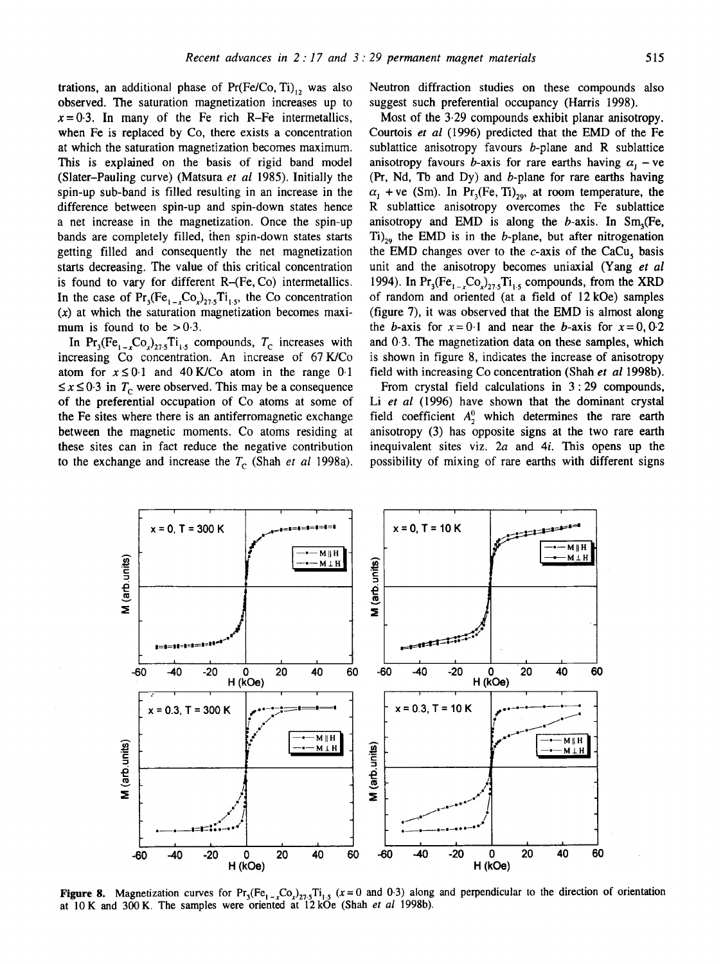trations, an additional phase of  $Pr(Fe/Co, Ti)$ , was also observed. The saturation magnetization increases up to  $x=0.3$ . In many of the Fe rich R-Fe intermetallics, when Fe is replaced by Co, there exists a concentration at which the saturation magnetization becomes maximum. This is explained on the basis of rigid band model (Slater-Pauling curve) (Matsura *et al* 1985). Initially the spin-up sub-band is filled resulting in an increase in the difference between spin-up and spin-down states hence a net increase in the magnetization. Once the spin-up bands are completely filled, then spin-down states starts getting filled and consequently the net magnetization starts decreasing. The value of this critical concentration is found to vary for different R-(Fe, Co) intermetallics. In the case of  $Pr_3(Fe_{1-x}Co_x)_{27.5}Ti_{1.5}$ , the Co concentration  $(x)$  at which the saturation magnetization becomes maximum is found to be  $> 0.3$ .

In Pr<sub>3</sub>(Fe<sub>1-c</sub>Co<sub>2)77.5</sub>Ti<sub>1.5</sub> compounds,  $T_c$  increases with increasing Co concentration. An increase of 67 K/Co atom for  $x \le 0.1$  and 40 K/Co atom in the range 0.1  $\leq$  x  $\leq$  0.3 in  $T_c$  were observed. This may be a consequence of the preferential occupation of Co atoms at some of the Fe sites where there is an antiferromagnetic exchange between the magnetic moments. Co atoms residing at these sites can in fact reduce the negative contribution to the exchange and increase the  $T_c$  (Shah *et al* 1998a).

Neutron diffraction studies on these compounds also suggest such preferential occupancy (Harris 1998).

Most of the 3.29 compounds exhibit planar anisotropy. Courtois *et al* (1996) predicted that the EMD of the Fe sublattice anisotropy favours  $b$ -plane and R sublattice anisotropy favours *b*-axis for rare earths having  $\alpha_1$  – ve (Pr, Nd, Tb and Dy) and b-plane for rare earths having  $\alpha_1$  + ve (Sm). In Pr<sub>3</sub>(Fe, Ti)<sub>29</sub>, at room temperature, the R sublattice anisotropy overcomes the Fe sublattice anisotropy and EMD is along the  $b$ -axis. In Sm<sub>a</sub>(Fe,  $Ti)_{29}$  the EMD is in the *b*-plane, but after nitrogenation the EMD changes over to the  $c$ -axis of the CaCu, basis unit and the anisotropy becomes uniaxial (Yang *et al*  1994). In  $Pr_3(Fe_{1-x}Co_x)_{27.5}Ti_{1.5}$  compounds, from the XRD of random and oriented (at a field of 12 kOe) samples (figure 7), it was observed that the EMD is almost along the b-axis for  $x=0.1$  and near the b-axis for  $x=0,0.2$ and 0-3. The magnetization data on these samples, which is shown in figure 8, indicates the increase of anisotropy fidd with increasing Co concentration (Shah *et al* 1998b).

From crystal field calculations in 3:29 compounds, Li *et al* (1996) have shown that the dominant crystal field coefficient  $A^0$ , which determines the rare earth anisotropy (3) has opposite signs at the two rare earth inequivalent sites viz. 2a and 4i. This opens up the possibility of mixing of rare earths with different signs



**Figure 8.** Magnetization curves for  $Pr_3(Fe_{1-x}Co_{22,1}T_1,s$  ( $x=0$  and 0.3) along and perpendicular to the direction of orientation at 10 K and 300 K. The samples were oriented at 12 kOe (Shah *et al* 1998b).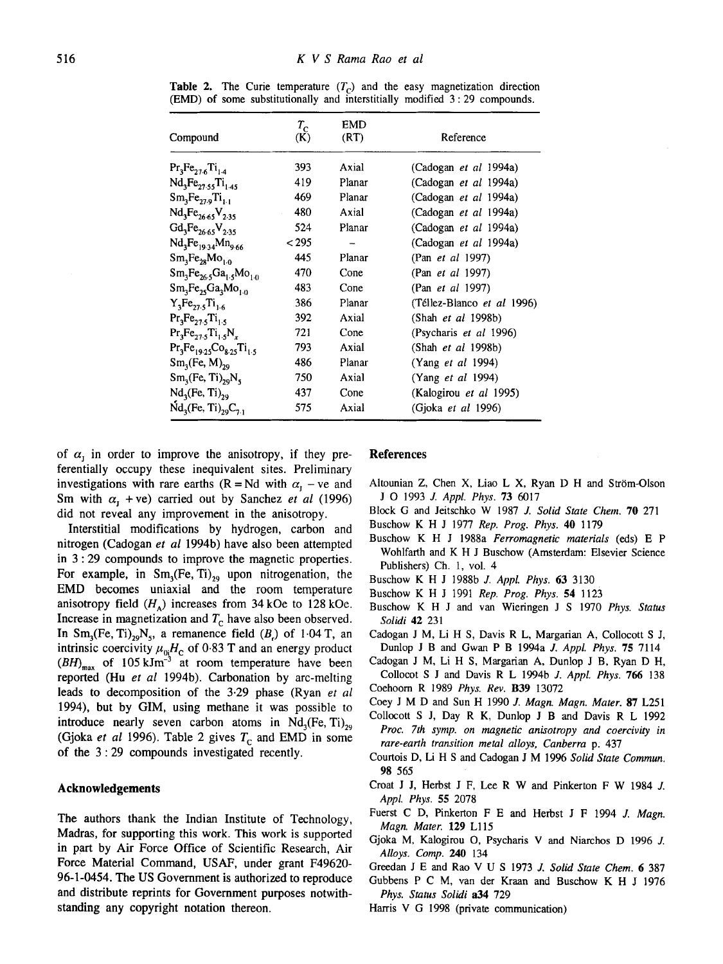| Compound                               | $T_{\rm c}$<br>(K) | EMD<br>(RT) | Reference                    |
|----------------------------------------|--------------------|-------------|------------------------------|
| $Pr_3Fe_{27.6}Ti_{1.4}$                | 393                | Axial       | (Cadogan <i>et al</i> 1994a) |
| $Nd_3Fe_{27.55}Ti_{1.45}$              | 419                | Planar      | (Cadogan et al 1994a)        |
| $Sm_1Fe_{27.9}Ti_{1.1}$                | 469                | Planar      | (Cadogan et al 1994a)        |
| $Nd_3Fe_{26.65}V_{2.35}$               | 480                | Axial       | (Cadogan <i>et al</i> 1994a) |
| $Gd_3Fe_{26.65}V_{2.35}$               | 524                | Planar      | (Cadogan <i>et al</i> 1994a) |
| $Nd_3Fe_{19.34}Mn_{9.66}$              | < 295              | -           | (Cadogan et al 1994a)        |
| $Sm_3Fe_{28}Mo_{1.0}$                  | 445                | Planar      | (Pan <i>et al</i> 1997)      |
| $Sm_3Fe_{26.5}Ga_{1.5}Mo_{1.0}$        | 470                | Cone        | (Pan <i>et al</i> 1997)      |
| $Sm_3Fe_{25}Ga_3Mo_{1,0}$              | 483                | Cone        | (Pan et al 1997)             |
| $Y_3Fe_{27.5}Ti_{1.6}$                 | 386                | Planar      | (Téllez-Blanco et al 1996)   |
| $Pr_3Fe_{27.5}Ti_{1.5}$                | 392                | Axial       | $(Shah$ <i>et al</i> 1998b)  |
| $Pr_3Fe_{27.5}Ti_{1.5}N_r$             | 721                | Cone        | (Psycharis et al 1996)       |
| $Pr_3Fe_{19.25}Co_{8.25}Ti_{1.5}$      | 793                | Axial       | $(Shah$ <i>et al</i> 1998b)  |
| $Sm_1(Fe, M)_{29}$                     | 486                | Planar      | (Yang <i>et al</i> 1994)     |
| $Sm3(Fe, Ti)29N5$                      | 750                | Axial       | (Yang <i>et al</i> 1994)     |
| Nd <sub>3</sub> (Fe, Ti) <sub>29</sub> | 437                | Cone        | (Kalogirou et al 1995)       |
| $Nd_{3}(Fe, Ti)_{29}C_{7.1}$           | 575                | Axial       | (Gjoka <i>et al</i> 1996)    |

**Table 2.** The Curie temperature  $(T<sub>c</sub>)$  and the easy magnetization direction (EMD) of some substitutionally and interstitially modified 3 : 29 compounds.

of  $\alpha_{\rm r}$  in order to improve the anisotropy, if they preferentially occupy these inequivalent sites. Preliminary investigations with rare earths (R = Nd with  $\alpha_1$  – ve and Sm with  $\alpha_1$  +ve) carried out by Sanchez *et al* (1996) did not reveal any improvement in the anisotropy.

Interstitial modifications by hydrogen, carbon and nitrogen (Cadogan *et al* 1994b) have also been attempted in 3 : 29 compounds to improve the magnetic properties. For example, in  $Sm<sub>3</sub>(Fe, Ti)<sub>29</sub>$  upon nitrogenation, the EMD becomes uniaxial and the room temperature anisotropy field  $(H_A)$  increases from 34 kOe to 128 kOe. Increase in magnetization and  $T_c$  have also been observed. In  $Sm_3(Fe, Ti)_{29}N_5$ , a remanence field  $(B_1)$  of 1.04 T, an intrinsic coercivity  $\mu_0H_c$  of 0.83 T and an energy product  $(BH)_{\text{max}}$  of 105 kJm<sup>-3</sup> at room temperature have been reported (Hu *et al* 1994b). Carbonation by arc-melting leads to decomposition of the 3.29 phase (Ryan *et al*  1994), but by GIM, using methane it was possible to introduce nearly seven carbon atoms in  $Nd_3(Fe, Ti)_{29}$ (Gjoka *et al* 1996). Table 2 gives  $T_c$  and EMD in some of the 3 : 29 compounds investigated recently.

### **Acknowledgements**

The authors thank the Indian Institute of Technology, Madras, for supporting this work. This work is supported in part by Air Force Office of Scientific Research, Air Force Material Command, USAF, under grant F49620- 96-1-0454. The US Government is authorized to reproduce and distribute reprints for Government purposes notwithstanding any copyright notation thereon.

### **References**

- Altounian Z, Chen X, Liao L X, Ryan D H and Ström-Olson J O 1993 *J. Appl. Phys.* 73 6017
- Block G and Jeitschko W 1987 *J. Solid State Chem.* 70 271
- Buschow K H J 1977 *Rep. Prog. Phys.* 40 1179
- Buschow K H J 1988a *Ferromagnetic materials* (eds) E P Wohlfarth and K H J Buschow (Amsterdam: Elsevier Science Publishers) Ch. 1, vol. 4
- Buschow K H J 1988b *J. Appl. Phys.* 63 3130
- Buschow K H J 1991 *Rep. Prog. Phys.* 54 1123
- Buschow K H J and van Wieringen J S 1970 *Phys. Status Solidi* 42 231
- Cadogan J M, Li H S, Davis R L, Margarian A, Collocott S J, Dunlop J B and Gwan P B 1994a *J. Appl. Phys.* 75 7114
- Cadogan J M, Li H S, Margarian A, Dunlop J B, Ryan D H, Collocot S J and Davis R L 1994b *J. Appl. Phys.* 766 138 Coehoom R 1989 *Phys. Rev.* B39 13072
- 
- Coey J M D and Sun H 1990 *J. Magn. Magn. Mater.* 87 L251
- Cotlocott S J, Day R K, Dunlop J B and Davis R L 1992 *Proc. 7th syrup, on magnetic anisotropy and coercivity in rare-earth transition metal alloys, Canberra* p. 437
- Courtois D, Li H S and Cadogan J M 1996 *Solid State Commun.*  98 565
- Croat J J, Herbst J F, Lee R W and Pinkerton F W 1984 J. *Appl. Phys.* 55 2078
- Fuerst C D, Pinkerton F E and Herbst J F 1994 J. *Magn. Magn. Mater.* 129 Ll15
- Gjoka M, Kalogirou O, Psycharis V and Niarchos D 1996 J. *Alloys. Comp.* 240 134
- Greedan J E and Rao V U S 1973 *J. Solid State Chem.* 6 387
- Gubbens P C M, van der Kraan and Buschow K H J 1976 *Phys. Status Solidi* a34 729
- Harris V G 1998 (private communication)